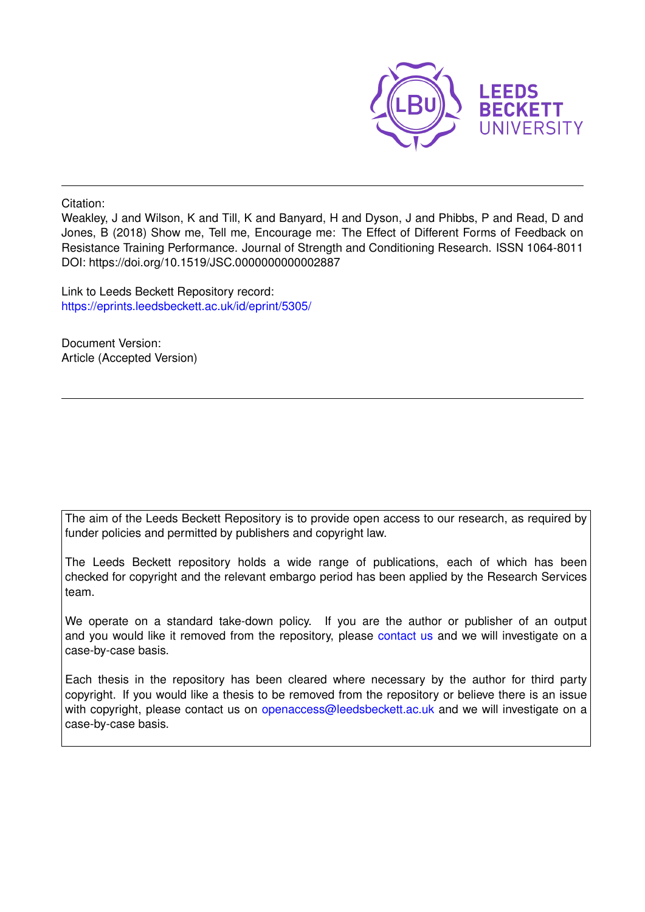

Citation:

Weakley, J and Wilson, K and Till, K and Banyard, H and Dyson, J and Phibbs, P and Read, D and Jones, B (2018) Show me, Tell me, Encourage me: The Effect of Different Forms of Feedback on Resistance Training Performance. Journal of Strength and Conditioning Research. ISSN 1064-8011 DOI: https://doi.org/10.1519/JSC.0000000000002887

Link to Leeds Beckett Repository record: <https://eprints.leedsbeckett.ac.uk/id/eprint/5305/>

Document Version: Article (Accepted Version)

The aim of the Leeds Beckett Repository is to provide open access to our research, as required by funder policies and permitted by publishers and copyright law.

The Leeds Beckett repository holds a wide range of publications, each of which has been checked for copyright and the relevant embargo period has been applied by the Research Services team.

We operate on a standard take-down policy. If you are the author or publisher of an output and you would like it removed from the repository, please [contact us](mailto:openaccess@leedsbeckett.ac.uk) and we will investigate on a case-by-case basis.

Each thesis in the repository has been cleared where necessary by the author for third party copyright. If you would like a thesis to be removed from the repository or believe there is an issue with copyright, please contact us on [openaccess@leedsbeckett.ac.uk](mailto:openaccess@leedsbeckett.ac.uk) and we will investigate on a case-by-case basis.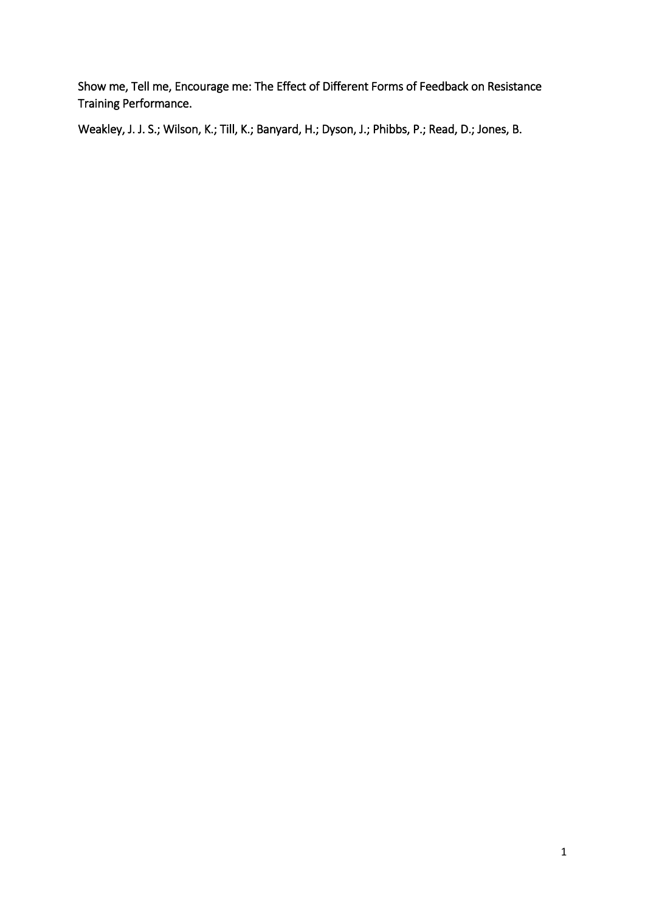Show me, Tell me, Encourage me: The Effect of Different Forms of Feedback on Resistance Training Performance.

Weakley, J. J. S.; Wilson, K.; Till, K.; Banyard, H.; Dyson, J.; Phibbs, P.; Read, D.; Jones, B.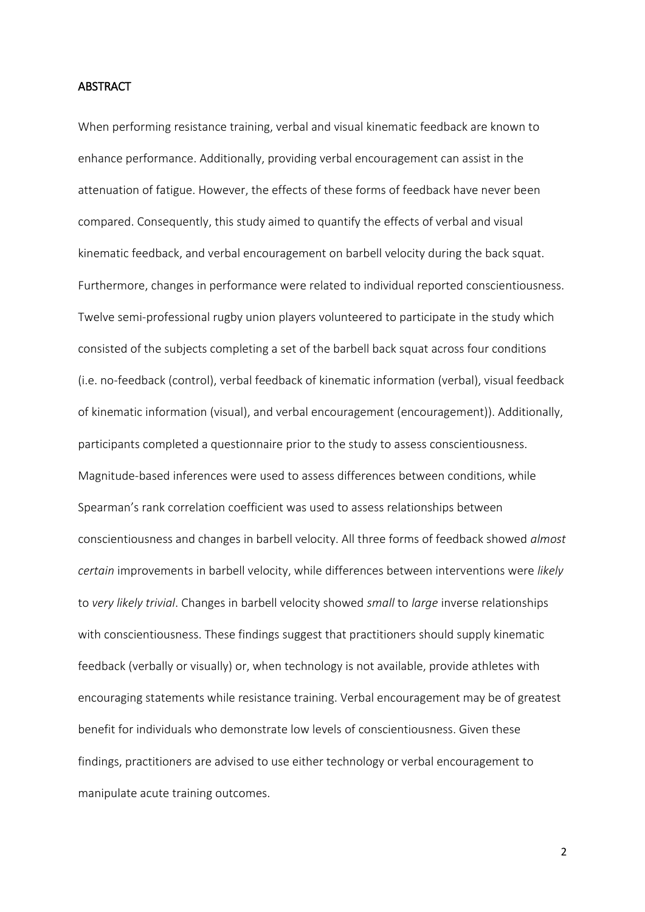#### **ABSTRACT**

When performing resistance training, verbal and visual kinematic feedback are known to enhance performance. Additionally, providing verbal encouragement can assist in the attenuation of fatigue. However, the effects of these forms of feedback have never been compared. Consequently, this study aimed to quantify the effects of verbal and visual kinematic feedback, and verbal encouragement on barbell velocity during the back squat. Furthermore, changes in performance were related to individual reported conscientiousness. Twelve semi-professional rugby union players volunteered to participate in the study which consisted of the subjects completing a set of the barbell back squat across four conditions (i.e. no-feedback (control), verbal feedback of kinematic information (verbal), visual feedback of kinematic information (visual), and verbal encouragement (encouragement)). Additionally, participants completed a questionnaire prior to the study to assess conscientiousness. Magnitude-based inferences were used to assess differences between conditions, while Spearman's rank correlation coefficient was used to assess relationships between conscientiousness and changes in barbell velocity. All three forms of feedback showed *almost certain* improvements in barbell velocity, while differences between interventions were *likely* to *very likely trivial*. Changes in barbell velocity showed *small* to *large* inverse relationships with conscientiousness. These findings suggest that practitioners should supply kinematic feedback (verbally or visually) or, when technology is not available, provide athletes with encouraging statements while resistance training. Verbal encouragement may be of greatest benefit for individuals who demonstrate low levels of conscientiousness. Given these findings, practitioners are advised to use either technology or verbal encouragement to manipulate acute training outcomes.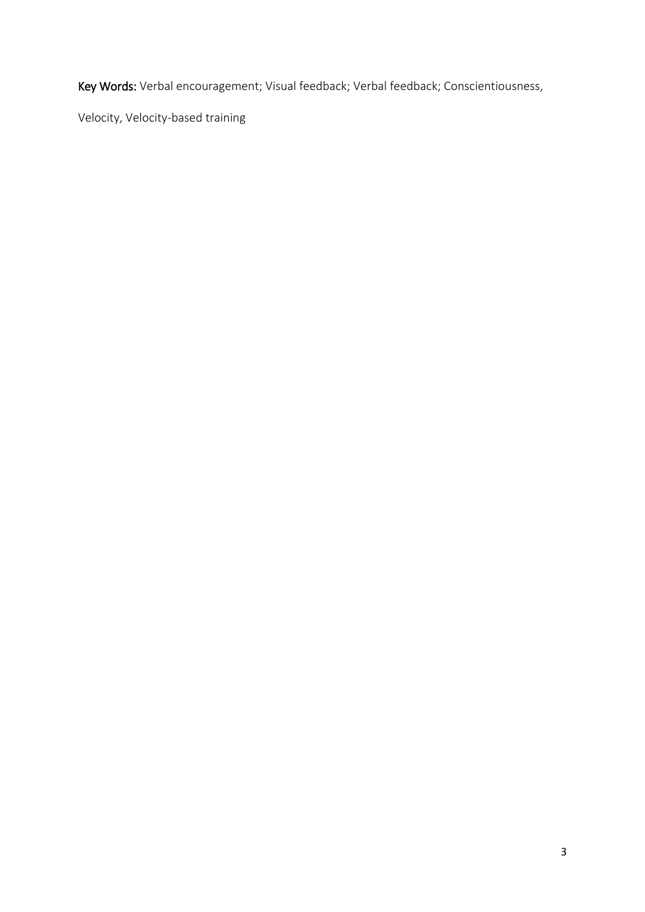Key Words: Verbal encouragement; Visual feedback; Verbal feedback; Conscientiousness,

Velocity, Velocity-based training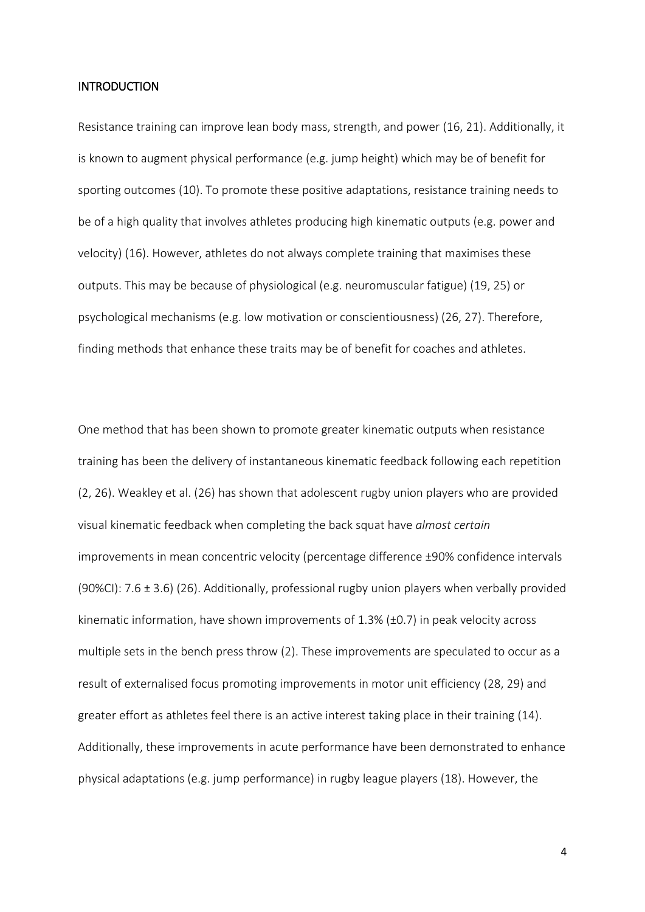#### INTRODUCTION

Resistance training can improve lean body mass, strength, and power (16, 21). Additionally, it is known to augment physical performance (e.g. jump height) which may be of benefit for sporting outcomes (10). To promote these positive adaptations, resistance training needs to be of a high quality that involves athletes producing high kinematic outputs (e.g. power and velocity) (16). However, athletes do not always complete training that maximises these outputs. This may be because of physiological (e.g. neuromuscular fatigue) (19, 25) or psychological mechanisms (e.g. low motivation or conscientiousness) (26, 27). Therefore, finding methods that enhance these traits may be of benefit for coaches and athletes.

One method that has been shown to promote greater kinematic outputs when resistance training has been the delivery of instantaneous kinematic feedback following each repetition (2, 26). Weakley et al. (26) has shown that adolescent rugby union players who are provided visual kinematic feedback when completing the back squat have *almost certain* improvements in mean concentric velocity (percentage difference ±90% confidence intervals (90%CI):  $7.6 \pm 3.6$ ) (26). Additionally, professional rugby union players when verbally provided kinematic information, have shown improvements of 1.3% (±0.7) in peak velocity across multiple sets in the bench press throw (2). These improvements are speculated to occur as a result of externalised focus promoting improvements in motor unit efficiency (28, 29) and greater effort as athletes feel there is an active interest taking place in their training (14). Additionally, these improvements in acute performance have been demonstrated to enhance physical adaptations (e.g. jump performance) in rugby league players (18). However, the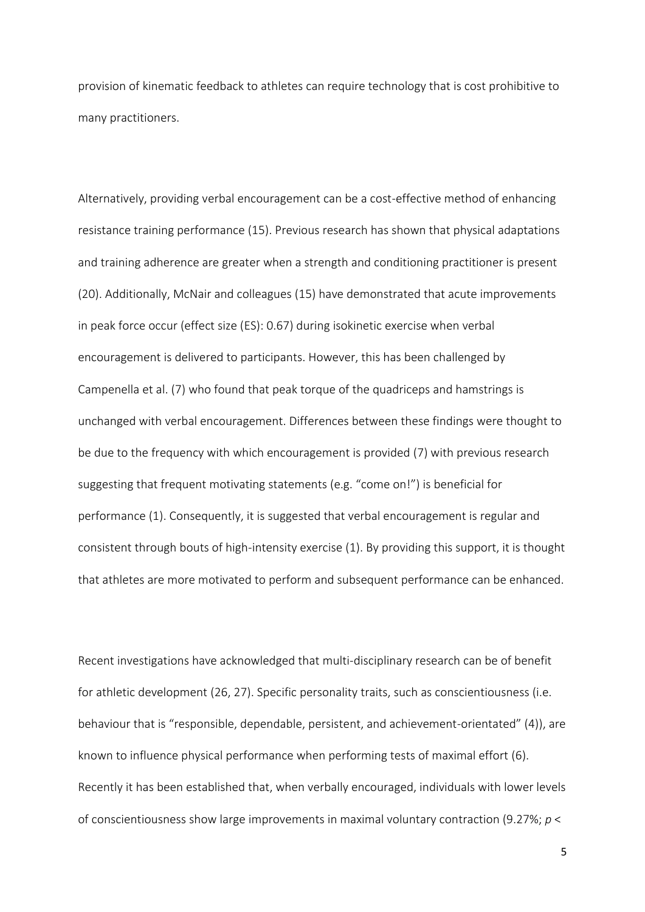provision of kinematic feedback to athletes can require technology that is cost prohibitive to many practitioners.

Alternatively, providing verbal encouragement can be a cost-effective method of enhancing resistance training performance (15). Previous research has shown that physical adaptations and training adherence are greater when a strength and conditioning practitioner is present (20). Additionally, McNair and colleagues (15) have demonstrated that acute improvements in peak force occur (effect size (ES): 0.67) during isokinetic exercise when verbal encouragement is delivered to participants. However, this has been challenged by Campenella et al. (7) who found that peak torque of the quadriceps and hamstrings is unchanged with verbal encouragement. Differences between these findings were thought to be due to the frequency with which encouragement is provided (7) with previous research suggesting that frequent motivating statements (e.g. "come on!") is beneficial for performance (1). Consequently, it is suggested that verbal encouragement is regular and consistent through bouts of high-intensity exercise (1). By providing this support, it is thought that athletes are more motivated to perform and subsequent performance can be enhanced.

Recent investigations have acknowledged that multi-disciplinary research can be of benefit for athletic development (26, 27). Specific personality traits, such as conscientiousness (i.e. behaviour that is "responsible, dependable, persistent, and achievement-orientated" (4)), are known to influence physical performance when performing tests of maximal effort (6). Recently it has been established that, when verbally encouraged, individuals with lower levels of conscientiousness show large improvements in maximal voluntary contraction (9.27%; *p* <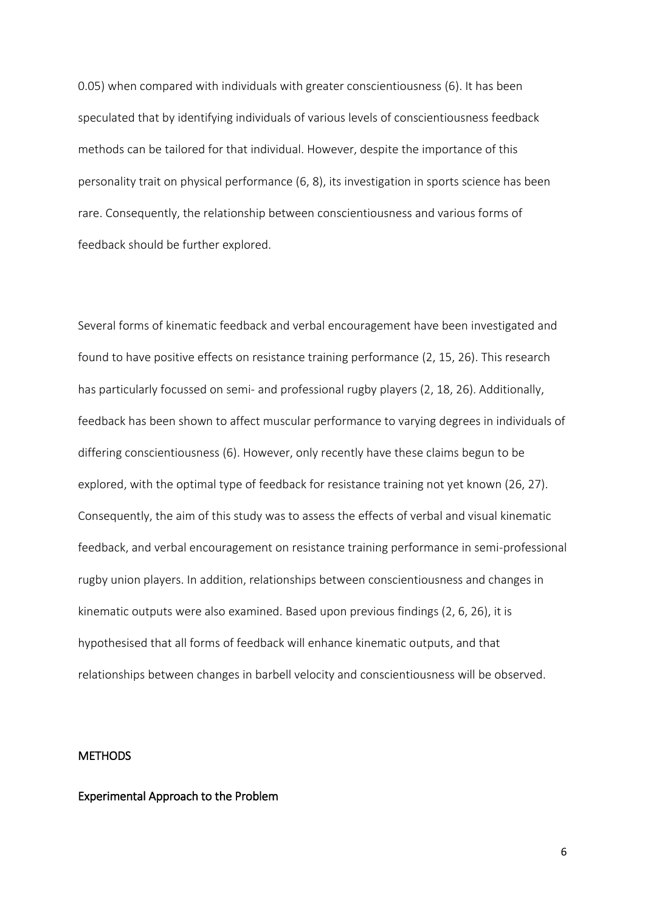0.05) when compared with individuals with greater conscientiousness (6). It has been speculated that by identifying individuals of various levels of conscientiousness feedback methods can be tailored for that individual. However, despite the importance of this personality trait on physical performance (6, 8), its investigation in sports science has been rare. Consequently, the relationship between conscientiousness and various forms of feedback should be further explored.

Several forms of kinematic feedback and verbal encouragement have been investigated and found to have positive effects on resistance training performance (2, 15, 26). This research has particularly focussed on semi- and professional rugby players (2, 18, 26). Additionally, feedback has been shown to affect muscular performance to varying degrees in individuals of differing conscientiousness (6). However, only recently have these claims begun to be explored, with the optimal type of feedback for resistance training not yet known (26, 27). Consequently, the aim of this study was to assess the effects of verbal and visual kinematic feedback, and verbal encouragement on resistance training performance in semi-professional rugby union players. In addition, relationships between conscientiousness and changes in kinematic outputs were also examined. Based upon previous findings (2, 6, 26), it is hypothesised that all forms of feedback will enhance kinematic outputs, and that relationships between changes in barbell velocity and conscientiousness will be observed.

### **METHODS**

#### Experimental Approach to the Problem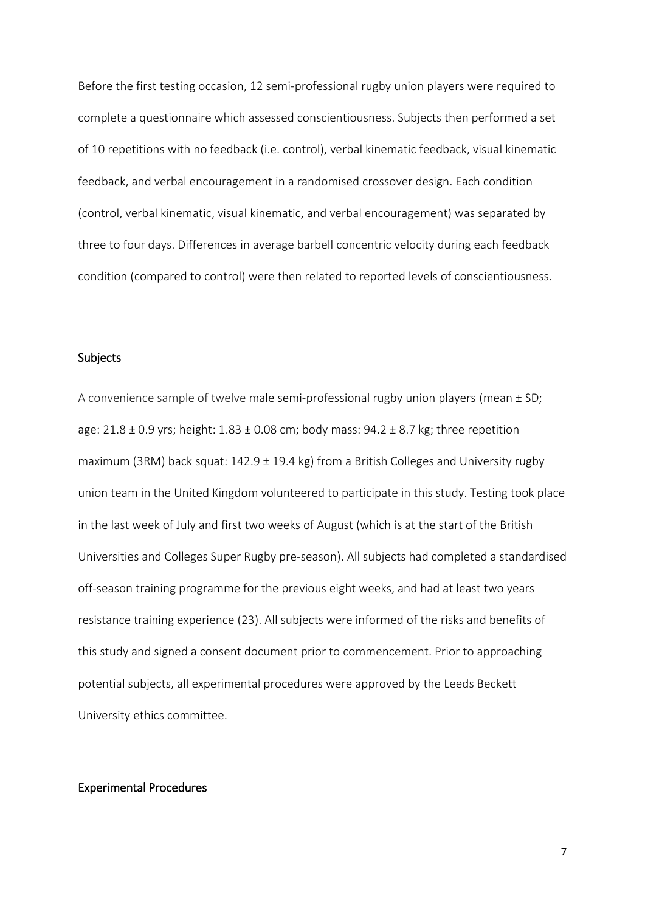Before the first testing occasion, 12 semi-professional rugby union players were required to complete a questionnaire which assessed conscientiousness. Subjects then performed a set of 10 repetitions with no feedback (i.e. control), verbal kinematic feedback, visual kinematic feedback, and verbal encouragement in a randomised crossover design. Each condition (control, verbal kinematic, visual kinematic, and verbal encouragement) was separated by three to four days. Differences in average barbell concentric velocity during each feedback condition (compared to control) were then related to reported levels of conscientiousness.

#### Subjects

A convenience sample of twelve male semi-professional rugby union players (mean ± SD; age:  $21.8 \pm 0.9$  yrs; height:  $1.83 \pm 0.08$  cm; body mass:  $94.2 \pm 8.7$  kg; three repetition maximum (3RM) back squat: 142.9 ± 19.4 kg) from a British Colleges and University rugby union team in the United Kingdom volunteered to participate in this study. Testing took place in the last week of July and first two weeks of August (which is at the start of the British Universities and Colleges Super Rugby pre-season). All subjects had completed a standardised off-season training programme for the previous eight weeks, and had at least two years resistance training experience (23). All subjects were informed of the risks and benefits of this study and signed a consent document prior to commencement. Prior to approaching potential subjects, all experimental procedures were approved by the Leeds Beckett University ethics committee.

### Experimental Procedures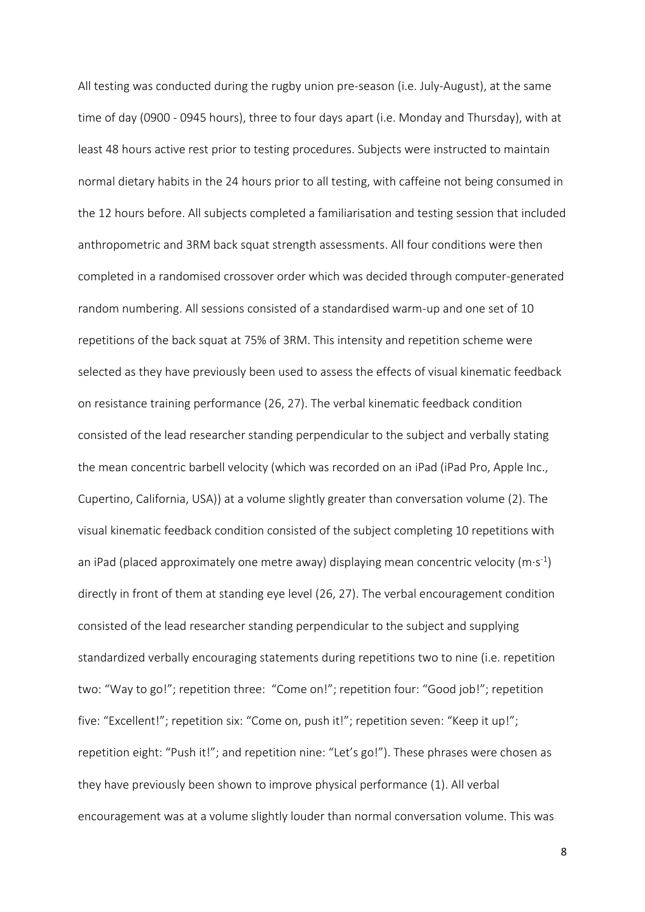All testing was conducted during the rugby union pre-season (i.e. July-August), at the same time of day (0900 - 0945 hours), three to four days apart (i.e. Monday and Thursday), with at least 48 hours active rest prior to testing procedures. Subjects were instructed to maintain normal dietary habits in the 24 hours prior to all testing, with caffeine not being consumed in the 12 hours before. All subjects completed a familiarisation and testing session that included anthropometric and 3RM back squat strength assessments. All four conditions were then completed in a randomised crossover order which was decided through computer-generated random numbering. All sessions consisted of a standardised warm-up and one set of 10 repetitions of the back squat at 75% of 3RM. This intensity and repetition scheme were selected as they have previously been used to assess the effects of visual kinematic feedback on resistance training performance (26, 27). The verbal kinematic feedback condition consisted of the lead researcher standing perpendicular to the subject and verbally stating the mean concentric barbell velocity (which was recorded on an iPad (iPad Pro, Apple Inc., Cupertino, California, USA)) at a volume slightly greater than conversation volume (2). The visual kinematic feedback condition consisted of the subject completing 10 repetitions with an iPad (placed approximately one metre away) displaying mean concentric velocity (m·s<sup>-1</sup>) directly in front of them at standing eye level (26, 27). The verbal encouragement condition consisted of the lead researcher standing perpendicular to the subject and supplying standardized verbally encouraging statements during repetitions two to nine (i.e. repetition two: "Way to go!"; repetition three: "Come on!"; repetition four: "Good job!"; repetition five: "Excellent!"; repetition six: "Come on, push it!"; repetition seven: "Keep it up!"; repetition eight: "Push it!"; and repetition nine: "Let's go!"). These phrases were chosen as they have previously been shown to improve physical performance (1). All verbal encouragement was at a volume slightly louder than normal conversation volume. This was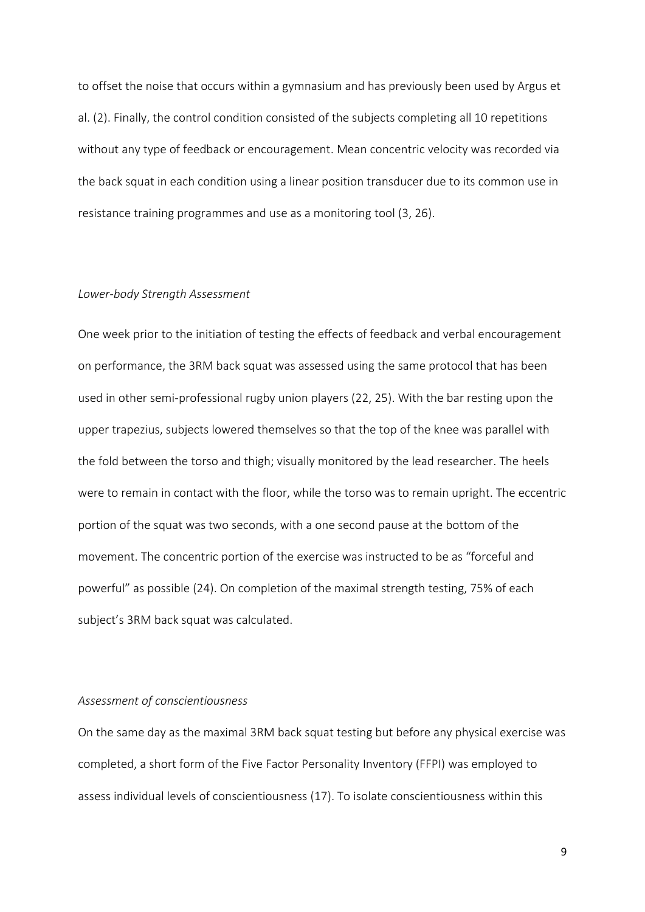to offset the noise that occurs within a gymnasium and has previously been used by Argus et al. (2). Finally, the control condition consisted of the subjects completing all 10 repetitions without any type of feedback or encouragement. Mean concentric velocity was recorded via the back squat in each condition using a linear position transducer due to its common use in resistance training programmes and use as a monitoring tool (3, 26).

#### *Lower-body Strength Assessment*

One week prior to the initiation of testing the effects of feedback and verbal encouragement on performance, the 3RM back squat was assessed using the same protocol that has been used in other semi-professional rugby union players (22, 25). With the bar resting upon the upper trapezius, subjects lowered themselves so that the top of the knee was parallel with the fold between the torso and thigh; visually monitored by the lead researcher. The heels were to remain in contact with the floor, while the torso was to remain upright. The eccentric portion of the squat was two seconds, with a one second pause at the bottom of the movement. The concentric portion of the exercise was instructed to be as "forceful and powerful" as possible (24). On completion of the maximal strength testing, 75% of each subject's 3RM back squat was calculated.

## *Assessment of conscientiousness*

On the same day as the maximal 3RM back squat testing but before any physical exercise was completed, a short form of the Five Factor Personality Inventory (FFPI) was employed to assess individual levels of conscientiousness (17). To isolate conscientiousness within this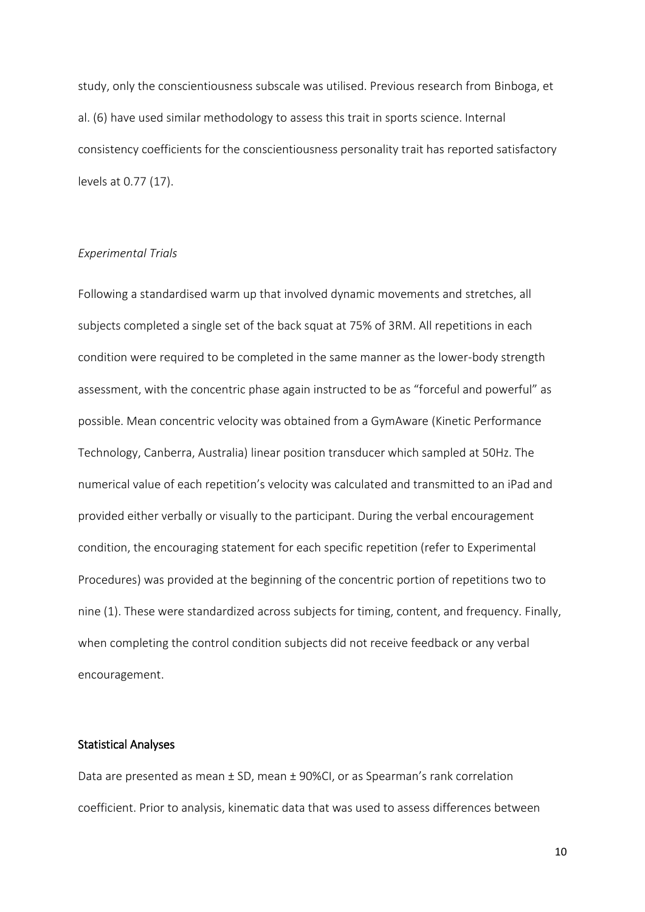study, only the conscientiousness subscale was utilised. Previous research from Binboga, et al. (6) have used similar methodology to assess this trait in sports science. Internal consistency coefficients for the conscientiousness personality trait has reported satisfactory levels at 0.77 (17).

#### *Experimental Trials*

Following a standardised warm up that involved dynamic movements and stretches, all subjects completed a single set of the back squat at 75% of 3RM. All repetitions in each condition were required to be completed in the same manner as the lower-body strength assessment, with the concentric phase again instructed to be as "forceful and powerful" as possible. Mean concentric velocity was obtained from a GymAware (Kinetic Performance Technology, Canberra, Australia) linear position transducer which sampled at 50Hz. The numerical value of each repetition's velocity was calculated and transmitted to an iPad and provided either verbally or visually to the participant. During the verbal encouragement condition, the encouraging statement for each specific repetition (refer to Experimental Procedures) was provided at the beginning of the concentric portion of repetitions two to nine (1). These were standardized across subjects for timing, content, and frequency. Finally, when completing the control condition subjects did not receive feedback or any verbal encouragement.

#### Statistical Analyses

Data are presented as mean ± SD, mean ± 90%CI, or as Spearman's rank correlation coefficient. Prior to analysis, kinematic data that was used to assess differences between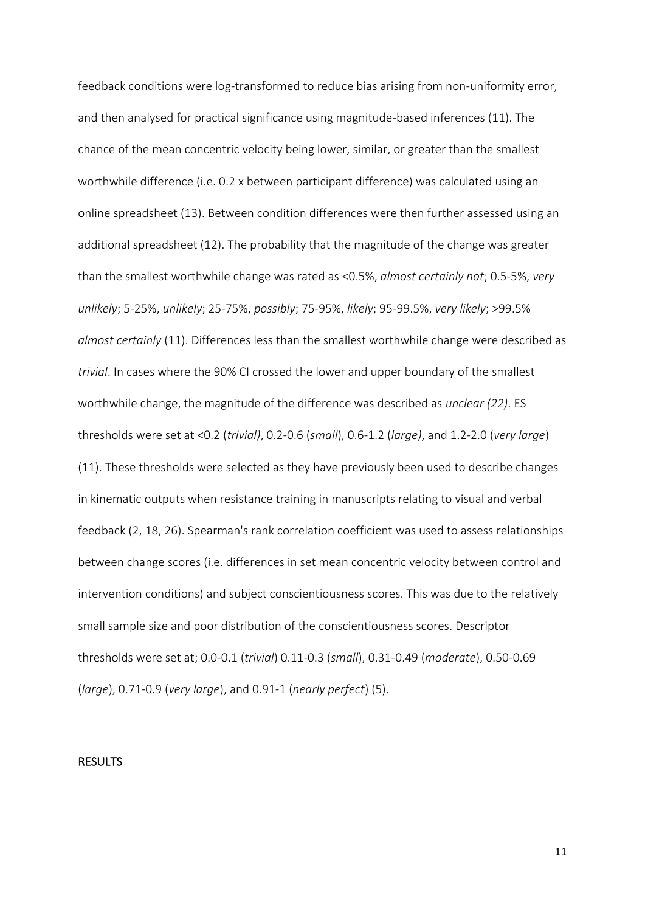feedback conditions were log-transformed to reduce bias arising from non-uniformity error, and then analysed for practical significance using magnitude-based inferences (11). The chance of the mean concentric velocity being lower, similar, or greater than the smallest worthwhile difference (i.e. 0.2 x between participant difference) was calculated using an online spreadsheet (13). Between condition differences were then further assessed using an additional spreadsheet (12). The probability that the magnitude of the change was greater than the smallest worthwhile change was rated as <0.5%, *almost certainly not*; 0.5-5%, *very unlikely*; 5-25%, *unlikely*; 25-75%, *possibly*; 75-95%, *likely*; 95-99.5%, *very likely*; >99.5% *almost certainly* (11). Differences less than the smallest worthwhile change were described as *trivial*. In cases where the 90% CI crossed the lower and upper boundary of the smallest worthwhile change, the magnitude of the difference was described as *unclear (22)*. ES thresholds were set at <0.2 (*trivial)*, 0.2-0.6 (*small*), 0.6-1.2 (*large)*, and 1.2-2.0 (*very large*) (11). These thresholds were selected as they have previously been used to describe changes in kinematic outputs when resistance training in manuscripts relating to visual and verbal feedback (2, 18, 26). Spearman's rank correlation coefficient was used to assess relationships between change scores (i.e. differences in set mean concentric velocity between control and intervention conditions) and subject conscientiousness scores. This was due to the relatively small sample size and poor distribution of the conscientiousness scores. Descriptor thresholds were set at; 0.0-0.1 (*trivial*) 0.11-0.3 (*small*), 0.31-0.49 (*moderate*), 0.50-0.69 (*large*), 0.71-0.9 (*very large*), and 0.91-1 (*nearly perfect*) (5).

#### RESULTS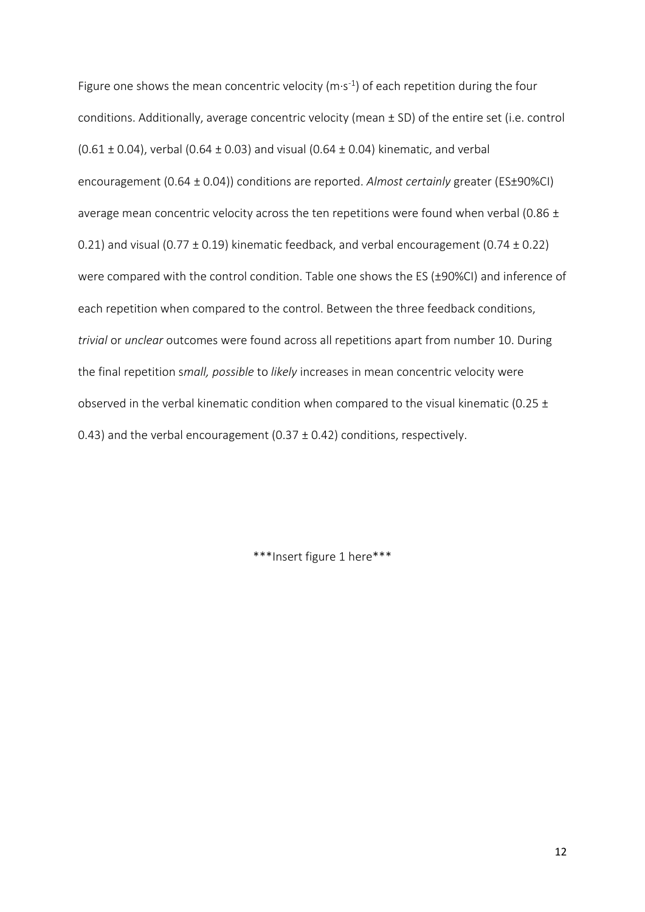Figure one shows the mean concentric velocity  $(m \cdot s^{-1})$  of each repetition during the four conditions. Additionally, average concentric velocity (mean ± SD) of the entire set (i.e. control (0.61  $\pm$  0.04), verbal (0.64  $\pm$  0.03) and visual (0.64  $\pm$  0.04) kinematic, and verbal encouragement (0.64 ± 0.04)) conditions are reported. *Almost certainly* greater (ES±90%CI) average mean concentric velocity across the ten repetitions were found when verbal (0.86  $\pm$ 0.21) and visual (0.77  $\pm$  0.19) kinematic feedback, and verbal encouragement (0.74  $\pm$  0.22) were compared with the control condition. Table one shows the ES (±90%CI) and inference of each repetition when compared to the control. Between the three feedback conditions, *trivial* or *unclear* outcomes were found across all repetitions apart from number 10. During the final repetition s*mall, possible* to *likely* increases in mean concentric velocity were observed in the verbal kinematic condition when compared to the visual kinematic (0.25  $\pm$ 0.43) and the verbal encouragement (0.37  $\pm$  0.42) conditions, respectively.

\*\*\*Insert figure 1 here\*\*\*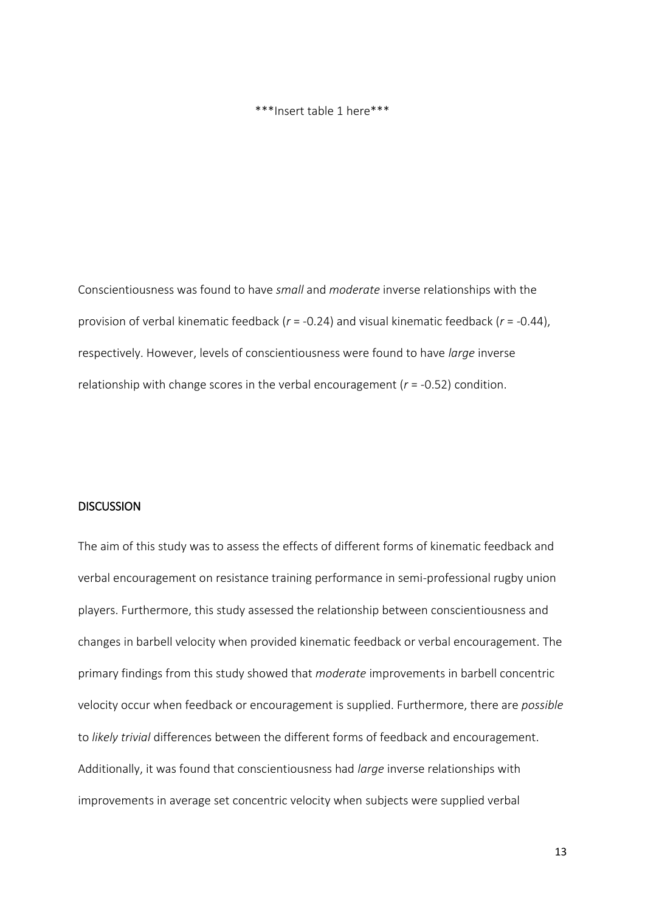#### \*\*\*Insert table 1 here\*\*\*

Conscientiousness was found to have *small* and *moderate* inverse relationships with the provision of verbal kinematic feedback (*r* = -0.24) and visual kinematic feedback (*r* = -0.44), respectively. However, levels of conscientiousness were found to have *large* inverse relationship with change scores in the verbal encouragement (*r* = -0.52) condition.

## **DISCUSSION**

The aim of this study was to assess the effects of different forms of kinematic feedback and verbal encouragement on resistance training performance in semi-professional rugby union players. Furthermore, this study assessed the relationship between conscientiousness and changes in barbell velocity when provided kinematic feedback or verbal encouragement. The primary findings from this study showed that *moderate* improvements in barbell concentric velocity occur when feedback or encouragement is supplied. Furthermore, there are *possible* to *likely trivial* differences between the different forms of feedback and encouragement. Additionally, it was found that conscientiousness had *large* inverse relationships with improvements in average set concentric velocity when subjects were supplied verbal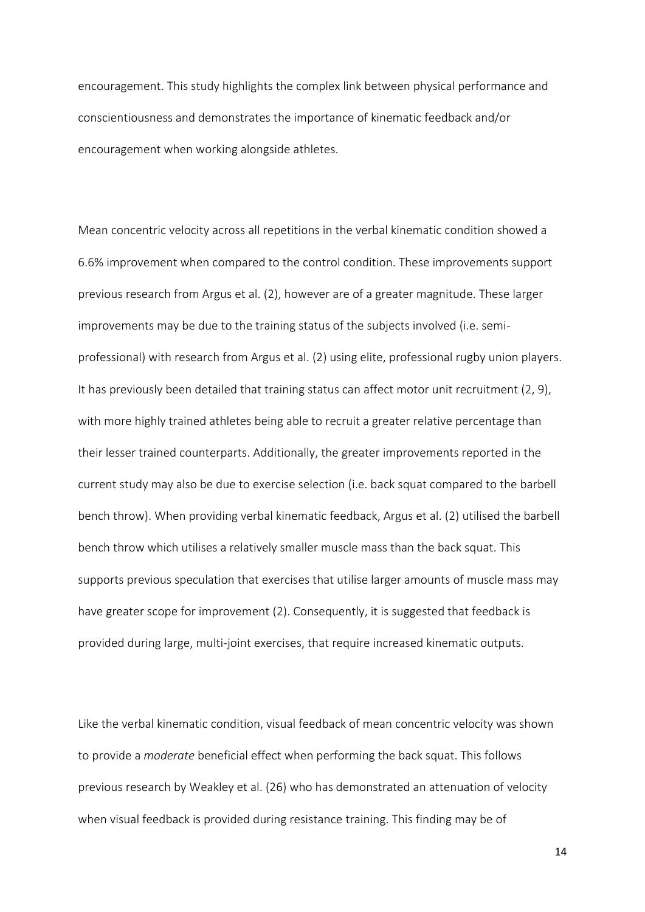encouragement. This study highlights the complex link between physical performance and conscientiousness and demonstrates the importance of kinematic feedback and/or encouragement when working alongside athletes.

Mean concentric velocity across all repetitions in the verbal kinematic condition showed a 6.6% improvement when compared to the control condition. These improvements support previous research from Argus et al. (2), however are of a greater magnitude. These larger improvements may be due to the training status of the subjects involved (i.e. semiprofessional) with research from Argus et al. (2) using elite, professional rugby union players. It has previously been detailed that training status can affect motor unit recruitment (2, 9), with more highly trained athletes being able to recruit a greater relative percentage than their lesser trained counterparts. Additionally, the greater improvements reported in the current study may also be due to exercise selection (i.e. back squat compared to the barbell bench throw). When providing verbal kinematic feedback, Argus et al. (2) utilised the barbell bench throw which utilises a relatively smaller muscle mass than the back squat. This supports previous speculation that exercises that utilise larger amounts of muscle mass may have greater scope for improvement (2). Consequently, it is suggested that feedback is provided during large, multi-joint exercises, that require increased kinematic outputs.

Like the verbal kinematic condition, visual feedback of mean concentric velocity was shown to provide a *moderate* beneficial effect when performing the back squat. This follows previous research by Weakley et al. (26) who has demonstrated an attenuation of velocity when visual feedback is provided during resistance training. This finding may be of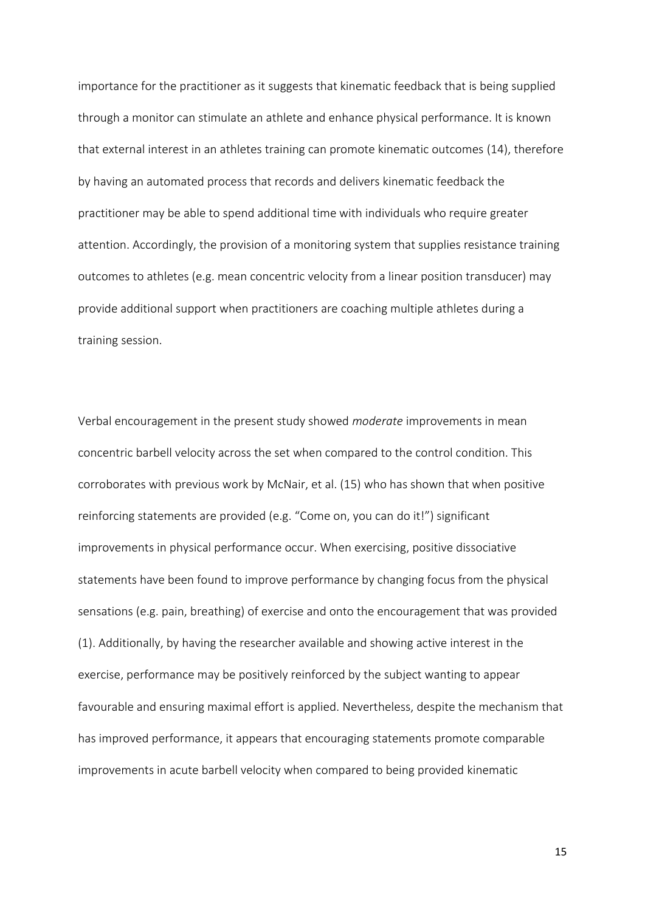importance for the practitioner as it suggests that kinematic feedback that is being supplied through a monitor can stimulate an athlete and enhance physical performance. It is known that external interest in an athletes training can promote kinematic outcomes (14), therefore by having an automated process that records and delivers kinematic feedback the practitioner may be able to spend additional time with individuals who require greater attention. Accordingly, the provision of a monitoring system that supplies resistance training outcomes to athletes (e.g. mean concentric velocity from a linear position transducer) may provide additional support when practitioners are coaching multiple athletes during a training session.

Verbal encouragement in the present study showed *moderate* improvements in mean concentric barbell velocity across the set when compared to the control condition. This corroborates with previous work by McNair, et al. (15) who has shown that when positive reinforcing statements are provided (e.g. "Come on, you can do it!") significant improvements in physical performance occur. When exercising, positive dissociative statements have been found to improve performance by changing focus from the physical sensations (e.g. pain, breathing) of exercise and onto the encouragement that was provided (1). Additionally, by having the researcher available and showing active interest in the exercise, performance may be positively reinforced by the subject wanting to appear favourable and ensuring maximal effort is applied. Nevertheless, despite the mechanism that has improved performance, it appears that encouraging statements promote comparable improvements in acute barbell velocity when compared to being provided kinematic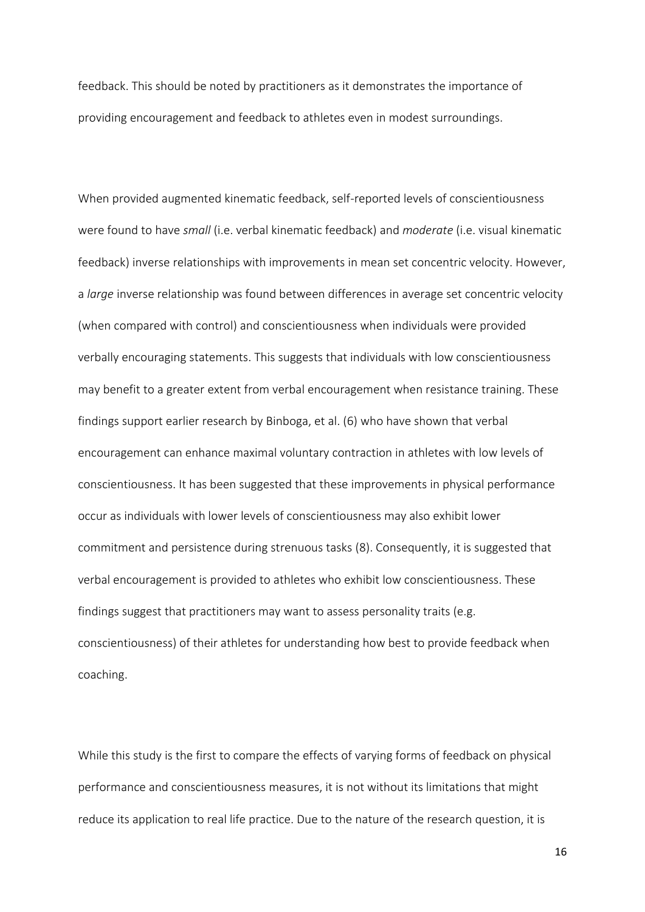feedback. This should be noted by practitioners as it demonstrates the importance of providing encouragement and feedback to athletes even in modest surroundings.

When provided augmented kinematic feedback, self-reported levels of conscientiousness were found to have *small* (i.e. verbal kinematic feedback) and *moderate* (i.e. visual kinematic feedback) inverse relationships with improvements in mean set concentric velocity. However, a *large* inverse relationship was found between differences in average set concentric velocity (when compared with control) and conscientiousness when individuals were provided verbally encouraging statements. This suggests that individuals with low conscientiousness may benefit to a greater extent from verbal encouragement when resistance training. These findings support earlier research by Binboga, et al. (6) who have shown that verbal encouragement can enhance maximal voluntary contraction in athletes with low levels of conscientiousness. It has been suggested that these improvements in physical performance occur as individuals with lower levels of conscientiousness may also exhibit lower commitment and persistence during strenuous tasks (8). Consequently, it is suggested that verbal encouragement is provided to athletes who exhibit low conscientiousness. These findings suggest that practitioners may want to assess personality traits (e.g. conscientiousness) of their athletes for understanding how best to provide feedback when coaching.

While this study is the first to compare the effects of varying forms of feedback on physical performance and conscientiousness measures, it is not without its limitations that might reduce its application to real life practice. Due to the nature of the research question, it is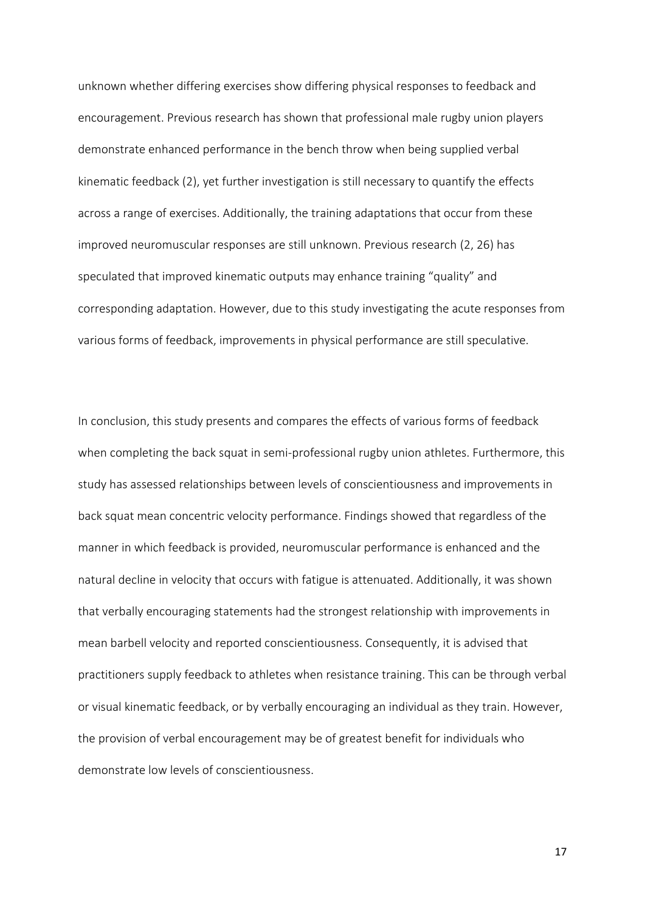unknown whether differing exercises show differing physical responses to feedback and encouragement. Previous research has shown that professional male rugby union players demonstrate enhanced performance in the bench throw when being supplied verbal kinematic feedback (2), yet further investigation is still necessary to quantify the effects across a range of exercises. Additionally, the training adaptations that occur from these improved neuromuscular responses are still unknown. Previous research (2, 26) has speculated that improved kinematic outputs may enhance training "quality" and corresponding adaptation. However, due to this study investigating the acute responses from various forms of feedback, improvements in physical performance are still speculative.

In conclusion, this study presents and compares the effects of various forms of feedback when completing the back squat in semi-professional rugby union athletes. Furthermore, this study has assessed relationships between levels of conscientiousness and improvements in back squat mean concentric velocity performance. Findings showed that regardless of the manner in which feedback is provided, neuromuscular performance is enhanced and the natural decline in velocity that occurs with fatigue is attenuated. Additionally, it was shown that verbally encouraging statements had the strongest relationship with improvements in mean barbell velocity and reported conscientiousness. Consequently, it is advised that practitioners supply feedback to athletes when resistance training. This can be through verbal or visual kinematic feedback, or by verbally encouraging an individual as they train. However, the provision of verbal encouragement may be of greatest benefit for individuals who demonstrate low levels of conscientiousness.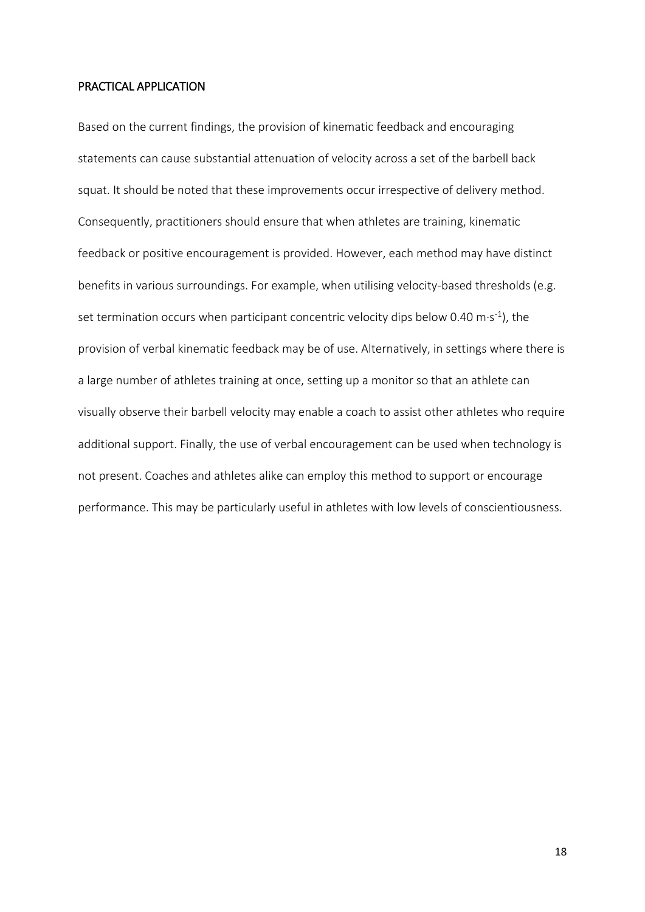#### PRACTICAL APPLICATION

Based on the current findings, the provision of kinematic feedback and encouraging statements can cause substantial attenuation of velocity across a set of the barbell back squat. It should be noted that these improvements occur irrespective of delivery method. Consequently, practitioners should ensure that when athletes are training, kinematic feedback or positive encouragement is provided. However, each method may have distinct benefits in various surroundings. For example, when utilising velocity-based thresholds (e.g. set termination occurs when participant concentric velocity dips below 0.40 m·s<sup>-1</sup>), the provision of verbal kinematic feedback may be of use. Alternatively, in settings where there is a large number of athletes training at once, setting up a monitor so that an athlete can visually observe their barbell velocity may enable a coach to assist other athletes who require additional support. Finally, the use of verbal encouragement can be used when technology is not present. Coaches and athletes alike can employ this method to support or encourage performance. This may be particularly useful in athletes with low levels of conscientiousness.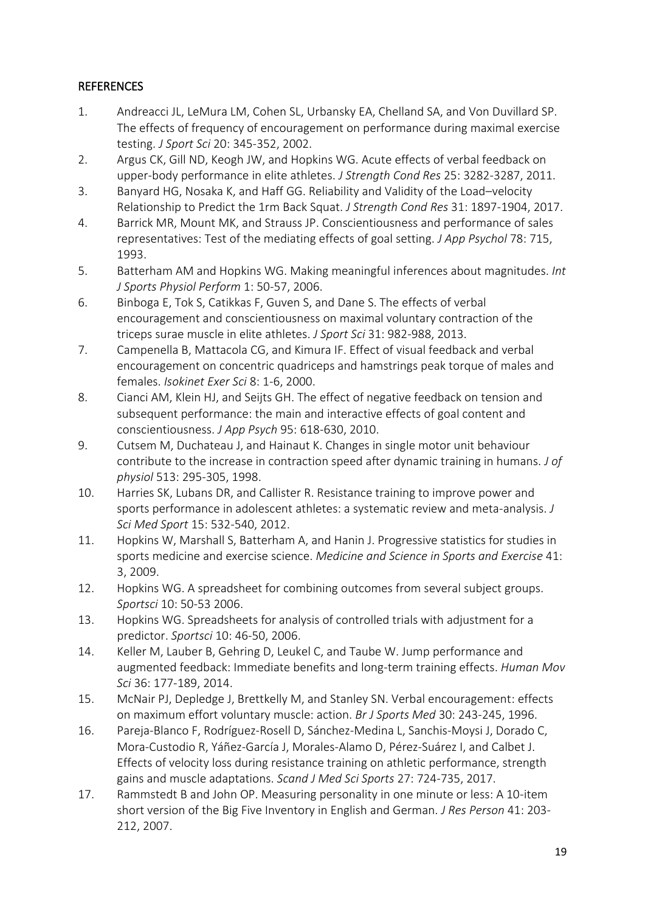# **REFERENCES**

- 1. Andreacci JL, LeMura LM, Cohen SL, Urbansky EA, Chelland SA, and Von Duvillard SP. The effects of frequency of encouragement on performance during maximal exercise testing. *J Sport Sci* 20: 345-352, 2002.
- 2. Argus CK, Gill ND, Keogh JW, and Hopkins WG. Acute effects of verbal feedback on upper-body performance in elite athletes. *J Strength Cond Res* 25: 3282-3287, 2011.
- 3. Banyard HG, Nosaka K, and Haff GG. Reliability and Validity of the Load–velocity Relationship to Predict the 1rm Back Squat. *J Strength Cond Res* 31: 1897-1904, 2017.
- 4. Barrick MR, Mount MK, and Strauss JP. Conscientiousness and performance of sales representatives: Test of the mediating effects of goal setting. *J App Psychol* 78: 715, 1993.
- 5. Batterham AM and Hopkins WG. Making meaningful inferences about magnitudes. *Int J Sports Physiol Perform* 1: 50-57, 2006.
- 6. Binboga E, Tok S, Catikkas F, Guven S, and Dane S. The effects of verbal encouragement and conscientiousness on maximal voluntary contraction of the triceps surae muscle in elite athletes. *J Sport Sci* 31: 982-988, 2013.
- 7. Campenella B, Mattacola CG, and Kimura IF. Effect of visual feedback and verbal encouragement on concentric quadriceps and hamstrings peak torque of males and females. *Isokinet Exer Sci* 8: 1-6, 2000.
- 8. Cianci AM, Klein HJ, and Seijts GH. The effect of negative feedback on tension and subsequent performance: the main and interactive effects of goal content and conscientiousness. *J App Psych* 95: 618-630, 2010.
- 9. Cutsem M, Duchateau J, and Hainaut K. Changes in single motor unit behaviour contribute to the increase in contraction speed after dynamic training in humans. *J of physiol* 513: 295-305, 1998.
- 10. Harries SK, Lubans DR, and Callister R. Resistance training to improve power and sports performance in adolescent athletes: a systematic review and meta-analysis. *J Sci Med Sport* 15: 532-540, 2012.
- 11. Hopkins W, Marshall S, Batterham A, and Hanin J. Progressive statistics for studies in sports medicine and exercise science. *Medicine and Science in Sports and Exercise* 41: 3, 2009.
- 12. Hopkins WG. A spreadsheet for combining outcomes from several subject groups. *Sportsci* 10: 50-53 2006.
- 13. Hopkins WG. Spreadsheets for analysis of controlled trials with adjustment for a predictor. *Sportsci* 10: 46-50, 2006.
- 14. Keller M, Lauber B, Gehring D, Leukel C, and Taube W. Jump performance and augmented feedback: Immediate benefits and long-term training effects. *Human Mov Sci* 36: 177-189, 2014.
- 15. McNair PJ, Depledge J, Brettkelly M, and Stanley SN. Verbal encouragement: effects on maximum effort voluntary muscle: action. *Br J Sports Med* 30: 243-245, 1996.
- 16. Pareja‐Blanco F, Rodríguez‐Rosell D, Sánchez‐Medina L, Sanchis‐Moysi J, Dorado C, Mora‐Custodio R, Yáñez‐García J, Morales‐Alamo D, Pérez‐Suárez I, and Calbet J. Effects of velocity loss during resistance training on athletic performance, strength gains and muscle adaptations. *Scand J Med Sci Sports* 27: 724-735, 2017.
- 17. Rammstedt B and John OP. Measuring personality in one minute or less: A 10-item short version of the Big Five Inventory in English and German. *J Res Person* 41: 203- 212, 2007.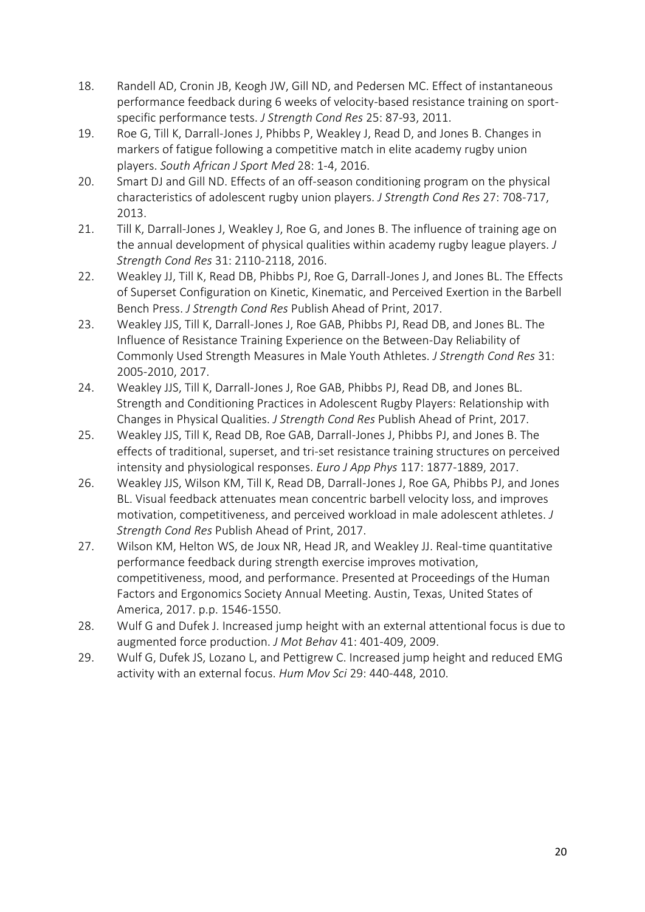- 18. Randell AD, Cronin JB, Keogh JW, Gill ND, and Pedersen MC. Effect of instantaneous performance feedback during 6 weeks of velocity-based resistance training on sportspecific performance tests. *J Strength Cond Res* 25: 87-93, 2011.
- 19. Roe G, Till K, Darrall-Jones J, Phibbs P, Weakley J, Read D, and Jones B. Changes in markers of fatigue following a competitive match in elite academy rugby union players. *South African J Sport Med* 28: 1-4, 2016.
- 20. Smart DJ and Gill ND. Effects of an off-season conditioning program on the physical characteristics of adolescent rugby union players. *J Strength Cond Res* 27: 708-717, 2013.
- 21. Till K, Darrall-Jones J, Weakley J, Roe G, and Jones B. The influence of training age on the annual development of physical qualities within academy rugby league players. *J Strength Cond Res* 31: 2110-2118, 2016.
- 22. Weakley JJ, Till K, Read DB, Phibbs PJ, Roe G, Darrall-Jones J, and Jones BL. The Effects of Superset Configuration on Kinetic, Kinematic, and Perceived Exertion in the Barbell Bench Press. *J Strength Cond Res* Publish Ahead of Print, 2017.
- 23. Weakley JJS, Till K, Darrall-Jones J, Roe GAB, Phibbs PJ, Read DB, and Jones BL. The Influence of Resistance Training Experience on the Between-Day Reliability of Commonly Used Strength Measures in Male Youth Athletes. *J Strength Cond Res* 31: 2005-2010, 2017.
- 24. Weakley JJS, Till K, Darrall-Jones J, Roe GAB, Phibbs PJ, Read DB, and Jones BL. Strength and Conditioning Practices in Adolescent Rugby Players: Relationship with Changes in Physical Qualities. *J Strength Cond Res* Publish Ahead of Print, 2017.
- 25. Weakley JJS, Till K, Read DB, Roe GAB, Darrall-Jones J, Phibbs PJ, and Jones B. The effects of traditional, superset, and tri-set resistance training structures on perceived intensity and physiological responses. *Euro J App Phys* 117: 1877-1889, 2017.
- 26. Weakley JJS, Wilson KM, Till K, Read DB, Darrall-Jones J, Roe GA, Phibbs PJ, and Jones BL. Visual feedback attenuates mean concentric barbell velocity loss, and improves motivation, competitiveness, and perceived workload in male adolescent athletes. *J Strength Cond Res* Publish Ahead of Print, 2017.
- 27. Wilson KM, Helton WS, de Joux NR, Head JR, and Weakley JJ. Real-time quantitative performance feedback during strength exercise improves motivation, competitiveness, mood, and performance. Presented at Proceedings of the Human Factors and Ergonomics Society Annual Meeting. Austin, Texas, United States of America, 2017. p.p. 1546-1550.
- 28. Wulf G and Dufek J. Increased jump height with an external attentional focus is due to augmented force production. *J Mot Behav* 41: 401-409, 2009.
- 29. Wulf G, Dufek JS, Lozano L, and Pettigrew C. Increased jump height and reduced EMG activity with an external focus. *Hum Mov Sci* 29: 440-448, 2010.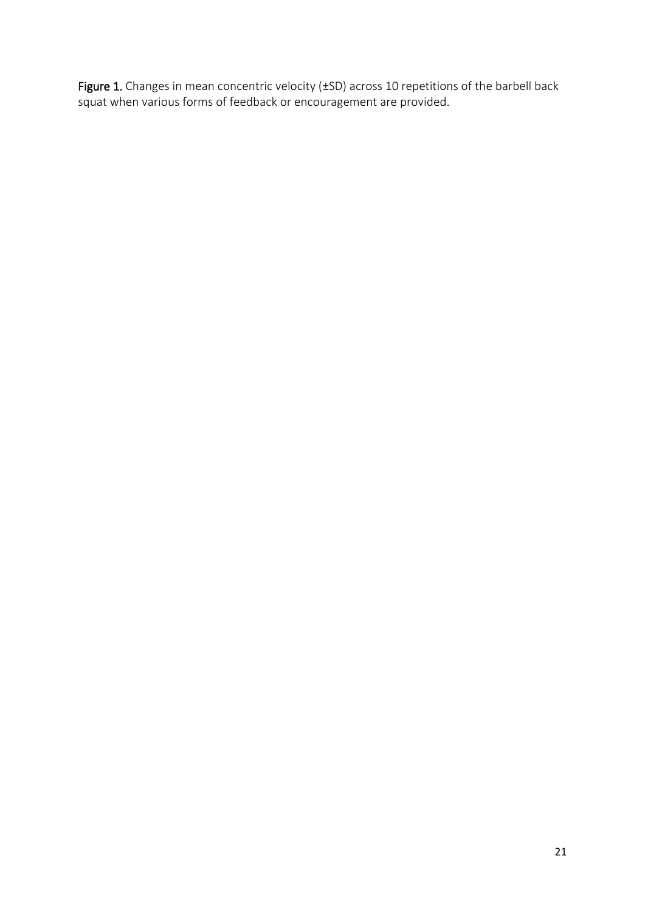Figure 1. Changes in mean concentric velocity (±SD) across 10 repetitions of the barbell back squat when various forms of feedback or encouragement are provided.